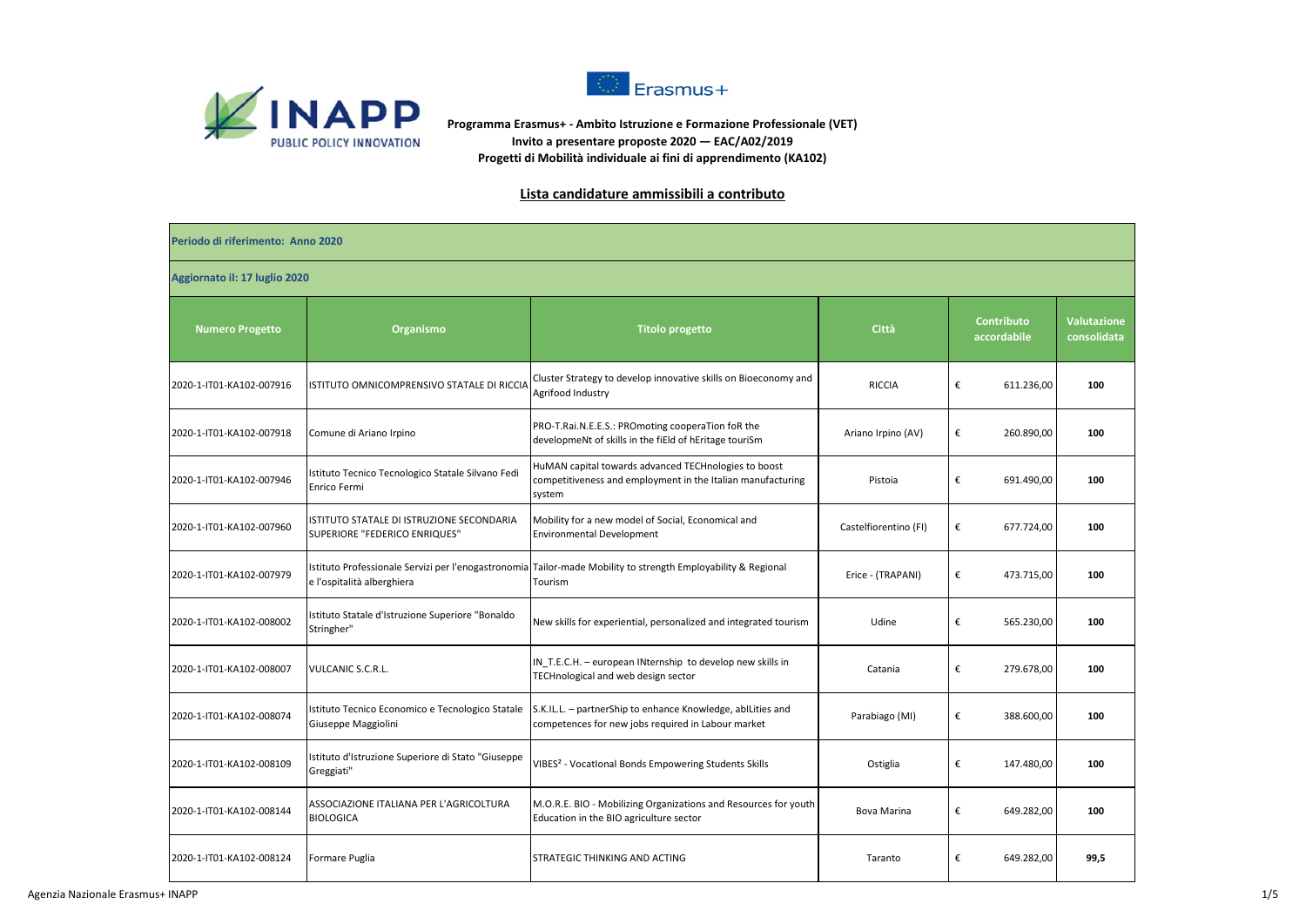



**Programma Erasmus+ - Ambito Istruzione e Formazione Professionale (VET) Invito a presentare proposte 2020 — EAC/A02/2019 Progetti di Mobilità individuale ai fini di apprendimento (KA102)**

## **Lista candidature ammissibili a contributo**

| Periodo di riferimento: Anno 2020 |                                                                            |                                                                                                                               |                       |                                  |                                   |  |  |
|-----------------------------------|----------------------------------------------------------------------------|-------------------------------------------------------------------------------------------------------------------------------|-----------------------|----------------------------------|-----------------------------------|--|--|
| Aggiornato il: 17 luglio 2020     |                                                                            |                                                                                                                               |                       |                                  |                                   |  |  |
| <b>Numero Progetto</b>            | Organismo                                                                  | <b>Titolo progetto</b>                                                                                                        | Città                 | <b>Contributo</b><br>accordabile | <b>Valutazione</b><br>consolidata |  |  |
| 2020-1-IT01-KA102-007916          | ISTITUTO OMNICOMPRENSIVO STATALE DI RICCIA                                 | Cluster Strategy to develop innovative skills on Bioeconomy and<br>Agrifood Industry                                          | <b>RICCIA</b>         | €<br>611.236,00                  | 100                               |  |  |
| 2020-1-IT01-KA102-007918          | Comune di Ariano Irpino                                                    | PRO-T.Rai.N.E.E.S.: PROmoting cooperaTion foR the<br>developmeNt of skills in the fiEld of hEritage touriSm                   | Ariano Irpino (AV)    | €<br>260.890,00                  | 100                               |  |  |
| 2020-1-IT01-KA102-007946          | Istituto Tecnico Tecnologico Statale Silvano Fedi<br>Enrico Fermi          | HuMAN capital towards advanced TECHnologies to boost<br>competitiveness and employment in the Italian manufacturing<br>system | Pistoia               | €<br>691.490,00                  | 100                               |  |  |
| 2020-1-IT01-KA102-007960          | ISTITUTO STATALE DI ISTRUZIONE SECONDARIA<br>SUPERIORE "FEDERICO ENRIQUES" | Mobility for a new model of Social, Economical and<br><b>Environmental Development</b>                                        | Castelfiorentino (FI) | €<br>677.724,00                  | 100                               |  |  |
| 2020-1-IT01-KA102-007979          | e l'ospitalità alberghiera                                                 | Istituto Professionale Servizi per l'enogastronomia Tailor-made Mobility to strength Employability & Regional<br>Tourism      | Erice - (TRAPANI)     | €<br>473.715,00                  | 100                               |  |  |
| 2020-1-IT01-KA102-008002          | Istituto Statale d'Istruzione Superiore "Bonaldo<br>Stringher"             | New skills for experiential, personalized and integrated tourism                                                              | Udine                 | €<br>565.230,00                  | 100                               |  |  |
| 2020-1-IT01-KA102-008007          | VULCANIC S.C.R.L.                                                          | IN T.E.C.H. - european INternship to develop new skills in<br>TECHnological and web design sector                             | Catania               | €<br>279.678,00                  | 100                               |  |  |
| 2020-1-IT01-KA102-008074          | Istituto Tecnico Economico e Tecnologico Statale<br>Giuseppe Maggiolini    | S.K.IL.L. - partnerShip to enhance Knowledge, abILities and<br>competences for new jobs required in Labour market             | Parabiago (MI)        | €<br>388.600,00                  | 100                               |  |  |
| 2020-1-IT01-KA102-008109          | Istituto d'Istruzione Superiore di Stato "Giuseppe<br>Greggiati"           | VIBES <sup>2</sup> - Vocatlonal Bonds Empowering Students Skills                                                              | Ostiglia              | €<br>147.480,00                  | 100                               |  |  |
| 2020-1-IT01-KA102-008144          | ASSOCIAZIONE ITALIANA PER L'AGRICOLTURA<br><b>BIOLOGICA</b>                | M.O.R.E. BIO - Mobilizing Organizations and Resources for youth<br>Education in the BIO agriculture sector                    | <b>Bova Marina</b>    | €<br>649.282,00                  | 100                               |  |  |
| 2020-1-IT01-KA102-008124          | Formare Puglia                                                             | STRATEGIC THINKING AND ACTING                                                                                                 | Taranto               | €<br>649.282,00                  | 99,5                              |  |  |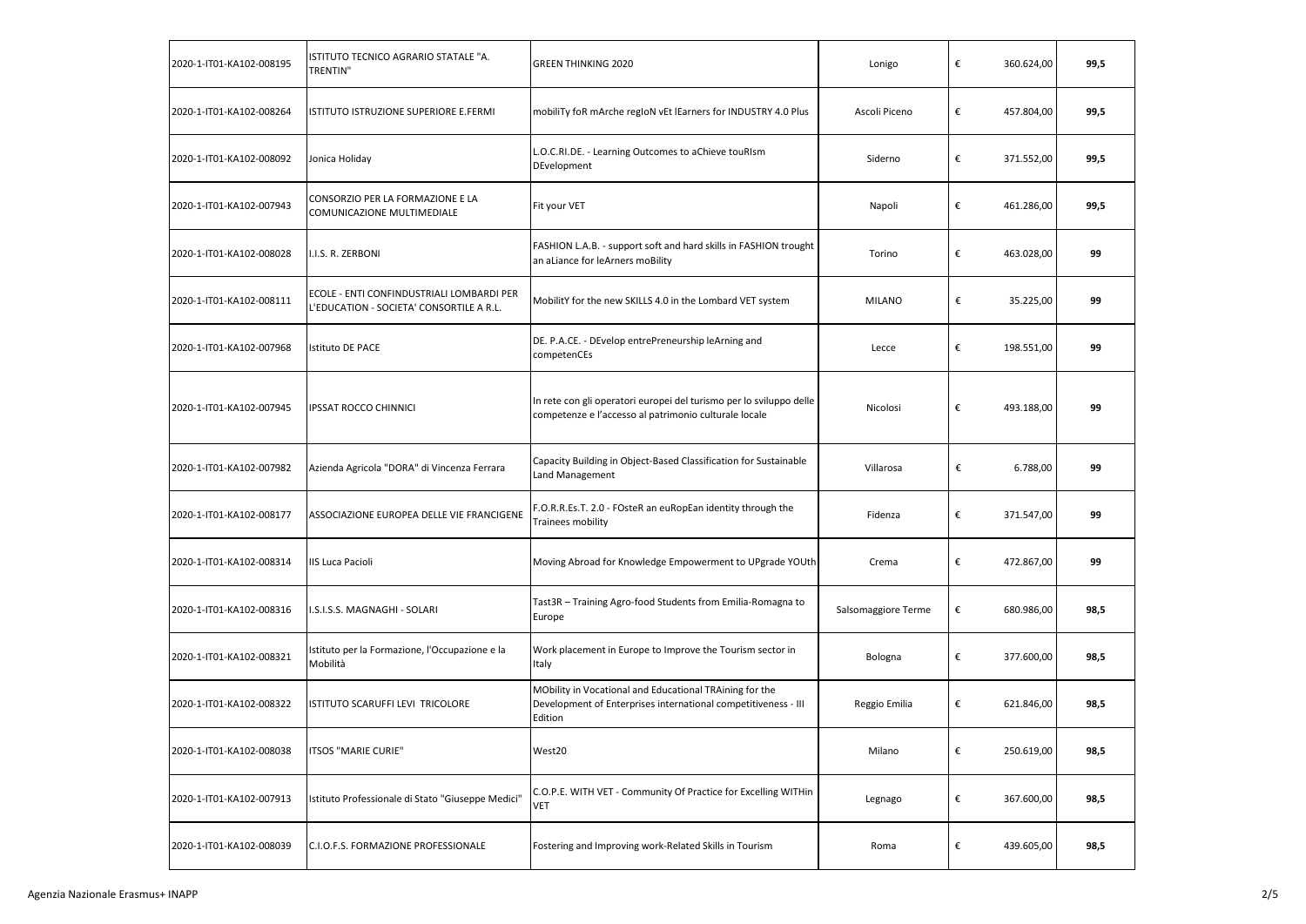| 2020-1-IT01-KA102-008195 | ISTITUTO TECNICO AGRARIO STATALE "A.<br><b>TRENTIN"</b>                               | <b>GREEN THINKING 2020</b>                                                                                                           | Lonigo              | € | 360.624,00 | 99,5 |
|--------------------------|---------------------------------------------------------------------------------------|--------------------------------------------------------------------------------------------------------------------------------------|---------------------|---|------------|------|
| 2020-1-IT01-KA102-008264 | ISTITUTO ISTRUZIONE SUPERIORE E.FERMI                                                 | mobiliTy foR mArche regIoN vEt lEarners for INDUSTRY 4.0 Plus                                                                        | Ascoli Piceno       | € | 457.804,00 | 99,5 |
| 2020-1-IT01-KA102-008092 | Jonica Holiday                                                                        | L.O.C.RI.DE. - Learning Outcomes to aChieve touRIsm<br>DEvelopment                                                                   | Siderno             | € | 371.552,00 | 99,5 |
| 2020-1-IT01-KA102-007943 | CONSORZIO PER LA FORMAZIONE E LA<br>COMUNICAZIONE MULTIMEDIALE                        | Fit your VET                                                                                                                         | Napoli              | € | 461.286,00 | 99,5 |
| 2020-1-IT01-KA102-008028 | I.I.S. R. ZERBONI                                                                     | FASHION L.A.B. - support soft and hard skills in FASHION trought<br>an aLiance for leArners moBility                                 | Torino              | € | 463.028,00 | 99   |
| 2020-1-IT01-KA102-008111 | ECOLE - ENTI CONFINDUSTRIALI LOMBARDI PER<br>L'EDUCATION - SOCIETA' CONSORTILE A R.L. | MobilitY for the new SKILLS 4.0 in the Lombard VET system                                                                            | <b>MILANO</b>       | € | 35.225,00  | 99   |
| 2020-1-IT01-KA102-007968 | <b>Istituto DE PACE</b>                                                               | DE. P.A.CE. - DEvelop entrePreneurship leArning and<br>competenCEs                                                                   | Lecce               | € | 198.551,00 | 99   |
| 2020-1-IT01-KA102-007945 | <b>IPSSAT ROCCO CHINNICI</b>                                                          | In rete con gli operatori europei del turismo per lo sviluppo delle<br>competenze e l'accesso al patrimonio culturale locale         | Nicolosi            | € | 493.188.00 | 99   |
| 2020-1-IT01-KA102-007982 | Azienda Agricola "DORA" di Vincenza Ferrara                                           | Capacity Building in Object-Based Classification for Sustainable<br>Land Management                                                  | Villarosa           | € | 6.788,00   | 99   |
| 2020-1-IT01-KA102-008177 | ASSOCIAZIONE EUROPEA DELLE VIE FRANCIGENE                                             | -.O.R.R.Es.T. 2.0 - FOsteR an euRopEan identity through the<br>Trainees mobility                                                     | Fidenza             | € | 371.547,00 | 99   |
| 2020-1-IT01-KA102-008314 | <b>IIS Luca Pacioli</b>                                                               | Moving Abroad for Knowledge Empowerment to UPgrade YOUth                                                                             | Crema               | € | 472.867,00 | 99   |
| 2020-1-IT01-KA102-008316 | I.S.I.S.S. MAGNAGHI - SOLARI                                                          | Tast3R - Training Agro-food Students from Emilia-Romagna to<br>Europe                                                                | Salsomaggiore Terme | € | 680.986,00 | 98,5 |
| 2020-1-IT01-KA102-008321 | Istituto per la Formazione, l'Occupazione e la<br>Mobilità                            | Work placement in Europe to Improve the Tourism sector in<br>Italy                                                                   | Bologna             | € | 377.600,00 | 98,5 |
| 2020-1-IT01-KA102-008322 | ISTITUTO SCARUFFI LEVI TRICOLORE                                                      | MObility in Vocational and Educational TRAining for the<br>Development of Enterprises international competitiveness - III<br>Edition | Reggio Emilia       | € | 621.846,00 | 98,5 |
| 2020-1-IT01-KA102-008038 | <b>ITSOS "MARIE CURIE"</b>                                                            | West20                                                                                                                               | Milano              | € | 250.619,00 | 98,5 |
| 2020-1-IT01-KA102-007913 | Istituto Professionale di Stato "Giuseppe Medici"                                     | C.O.P.E. WITH VET - Community Of Practice for Excelling WITHin<br>VET                                                                | Legnago             | € | 367.600,00 | 98,5 |
| 2020-1-IT01-KA102-008039 | C.I.O.F.S. FORMAZIONE PROFESSIONALE                                                   | Fostering and Improving work-Related Skills in Tourism                                                                               | Roma                | € | 439.605,00 | 98,5 |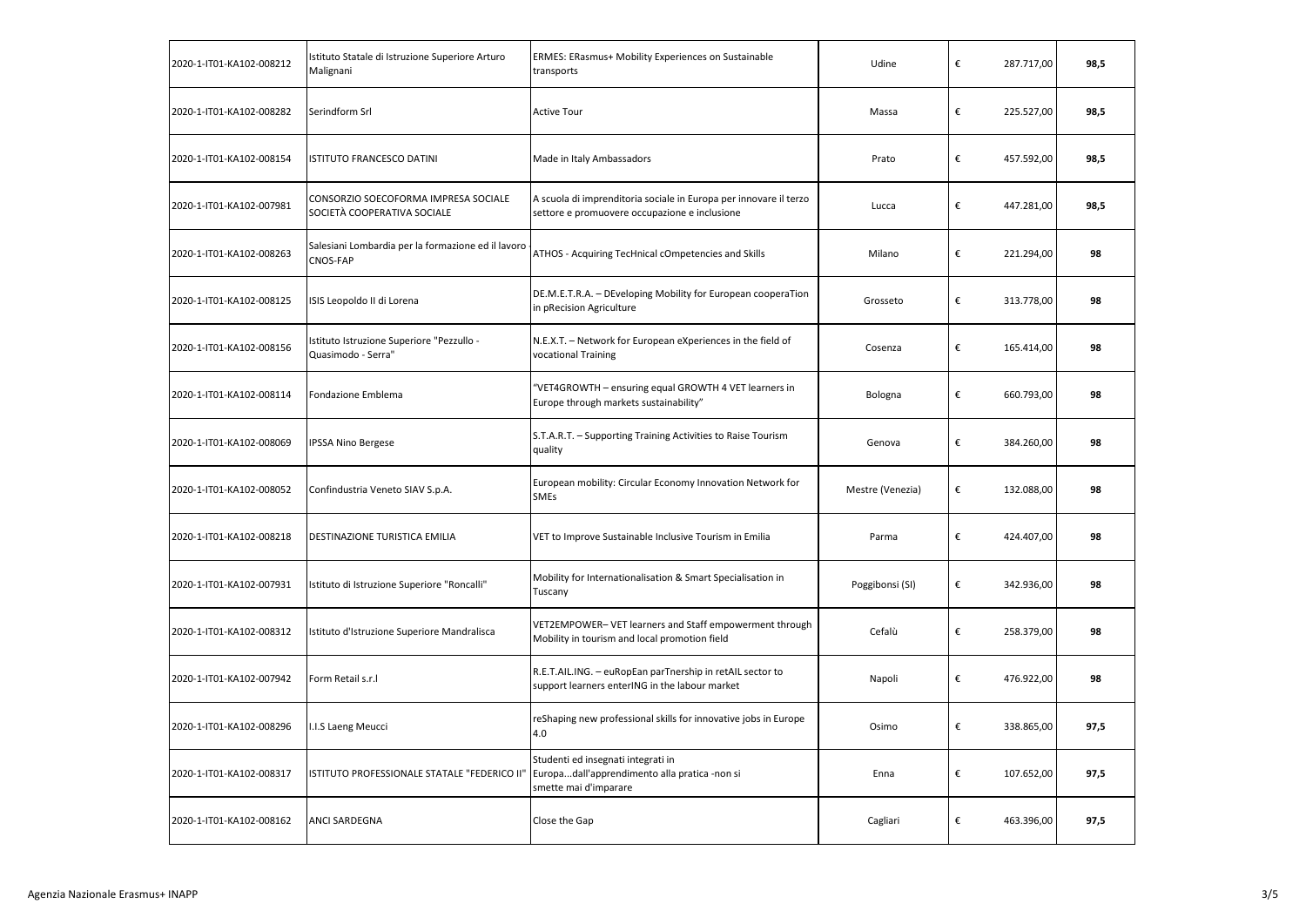| 2020-1-IT01-KA102-008212 | Istituto Statale di Istruzione Superiore Arturo<br>Malignani        | ERMES: ERasmus+ Mobility Experiences on Sustainable<br>transports                                                  | Udine            | €                       | 287.717,00 | 98,5 |
|--------------------------|---------------------------------------------------------------------|--------------------------------------------------------------------------------------------------------------------|------------------|-------------------------|------------|------|
| 2020-1-IT01-KA102-008282 | Serindform Srl                                                      | <b>Active Tour</b>                                                                                                 | Massa            | €                       | 225.527,00 | 98,5 |
| 2020-1-IT01-KA102-008154 | ISTITUTO FRANCESCO DATINI                                           | Made in Italy Ambassadors                                                                                          | Prato            | €                       | 457.592,00 | 98,5 |
| 2020-1-IT01-KA102-007981 | CONSORZIO SOECOFORMA IMPRESA SOCIALE<br>SOCIETÀ COOPERATIVA SOCIALE | A scuola di imprenditoria sociale in Europa per innovare il terzo<br>settore e promuovere occupazione e inclusione | Lucca            | €                       | 447.281,00 | 98,5 |
| 2020-1-IT01-KA102-008263 | Salesiani Lombardia per la formazione ed il lavoro<br>CNOS-FAP      | ATHOS - Acquiring TecHnical cOmpetencies and Skills                                                                | Milano           | €                       | 221.294,00 | 98   |
| 2020-1-IT01-KA102-008125 | ISIS Leopoldo II di Lorena                                          | DE.M.E.T.R.A. - DEveloping Mobility for European cooperaTion<br>in pRecision Agriculture                           | Grosseto         | $\boldsymbol{\epsilon}$ | 313.778,00 | 98   |
| 2020-1-IT01-KA102-008156 | Istituto Istruzione Superiore "Pezzullo -<br>Quasimodo - Serra"     | N.E.X.T. - Network for European eXperiences in the field of<br>vocational Training                                 | Cosenza          | €                       | 165.414,00 | 98   |
| 2020-1-IT01-KA102-008114 | Fondazione Emblema                                                  | 'VET4GROWTH - ensuring equal GROWTH 4 VET learners in<br>Europe through markets sustainability"                    | Bologna          | €                       | 660.793,00 | 98   |
| 2020-1-IT01-KA102-008069 | <b>IPSSA Nino Bergese</b>                                           | S.T.A.R.T. - Supporting Training Activities to Raise Tourism<br>quality                                            | Genova           | €                       | 384.260,00 | 98   |
| 2020-1-IT01-KA102-008052 | Confindustria Veneto SIAV S.p.A.                                    | European mobility: Circular Economy Innovation Network for<br><b>SMEs</b>                                          | Mestre (Venezia) | €                       | 132.088,00 | 98   |
| 2020-1-IT01-KA102-008218 | DESTINAZIONE TURISTICA EMILIA                                       | VET to Improve Sustainable Inclusive Tourism in Emilia                                                             | Parma            | $\boldsymbol{\epsilon}$ | 424.407,00 | 98   |
| 2020-1-IT01-KA102-007931 | Istituto di Istruzione Superiore "Roncalli"                         | Mobility for Internationalisation & Smart Specialisation in<br>Tuscany                                             | Poggibonsi (SI)  | €                       | 342.936,00 | 98   |
| 2020-1-IT01-KA102-008312 | Istituto d'Istruzione Superiore Mandralisca                         | VET2EMPOWER- VET learners and Staff empowerment through<br>Mobility in tourism and local promotion field           | Cefalù           | €                       | 258.379,00 | 98   |
| 2020-1-IT01-KA102-007942 | Form Retail s.r.l                                                   | R.E.T.AIL.ING. - euRopEan parTnership in retAIL sector to<br>support learners enterING in the labour market        | Napoli           | €                       | 476.922,00 | 98   |
| 2020-1-IT01-KA102-008296 | I.I.S Laeng Meucci                                                  | reShaping new professional skills for innovative jobs in Europe<br>4.0                                             | Osimo            | €                       | 338.865,00 | 97,5 |
| 2020-1-IT01-KA102-008317 | ISTITUTO PROFESSIONALE STATALE "FEDERICO II"                        | Studenti ed insegnati integrati in<br>Europadall'apprendimento alla pratica -non si<br>smette mai d'imparare       | Enna             | $\boldsymbol{\epsilon}$ | 107.652,00 | 97,5 |
| 2020-1-IT01-KA102-008162 | ANCI SARDEGNA                                                       | Close the Gap                                                                                                      | Cagliari         | €                       | 463.396,00 | 97,5 |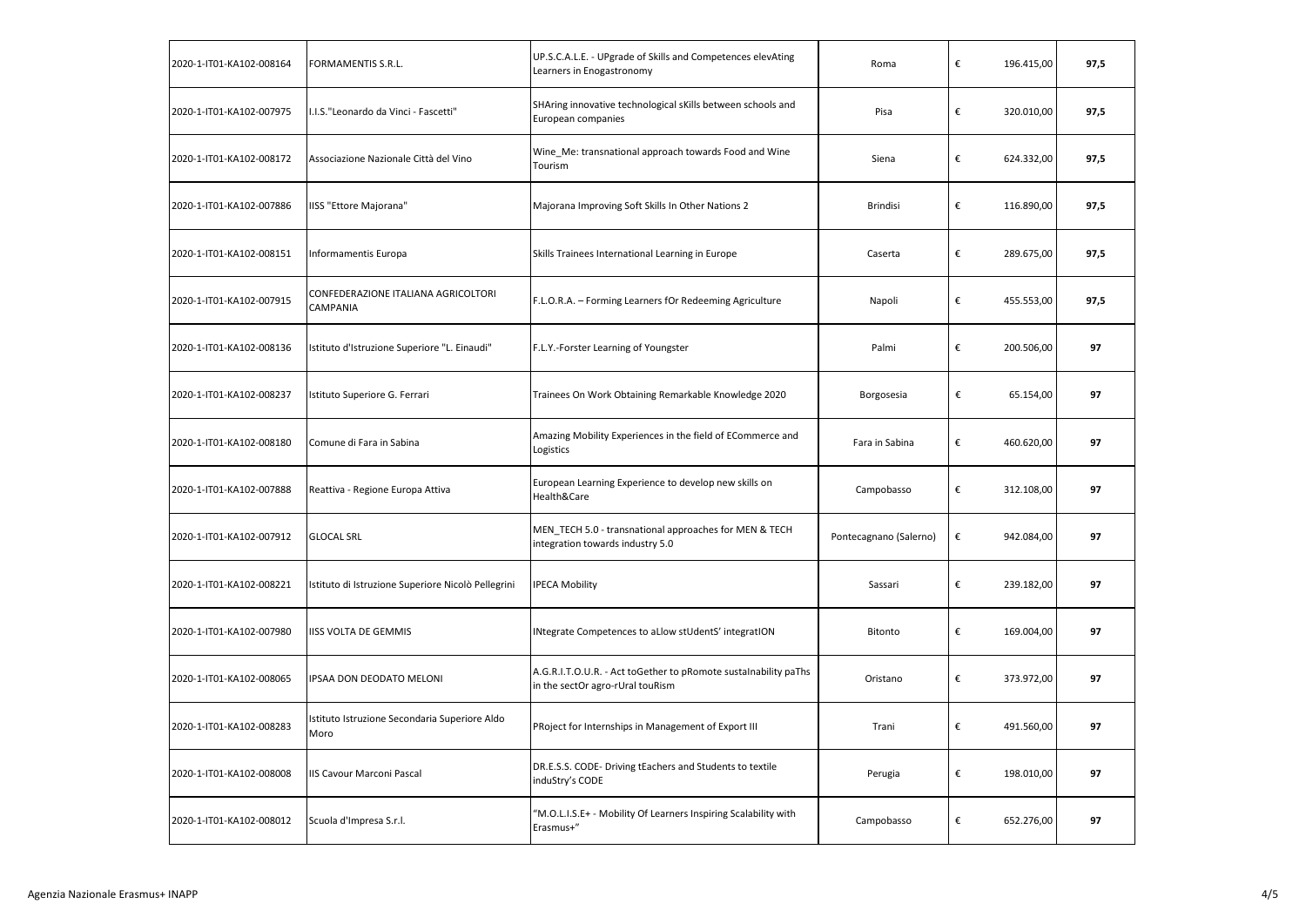| 2020-1-IT01-KA102-008164 | FORMAMENTIS S.R.L.                                    | UP.S.C.A.L.E. - UPgrade of Skills and Competences elevAting<br>Learners in Enogastronomy            | Roma                   | € | 196.415,00 | 97,5 |
|--------------------------|-------------------------------------------------------|-----------------------------------------------------------------------------------------------------|------------------------|---|------------|------|
| 2020-1-IT01-KA102-007975 | I.I.S."Leonardo da Vinci - Fascetti"                  | SHAring innovative technological sKills between schools and<br>European companies                   | Pisa                   | € | 320.010,00 | 97,5 |
| 2020-1-IT01-KA102-008172 | Associazione Nazionale Città del Vino                 | Wine_Me: transnational approach towards Food and Wine<br>Tourism                                    | Siena                  | € | 624.332,00 | 97,5 |
| 2020-1-IT01-KA102-007886 | IISS "Ettore Majorana"                                | Majorana Improving Soft Skills In Other Nations 2                                                   | <b>Brindisi</b>        | € | 116.890,00 | 97,5 |
| 2020-1-IT01-KA102-008151 | Informamentis Europa                                  | Skills Trainees International Learning in Europe                                                    | Caserta                | € | 289.675,00 | 97,5 |
| 2020-1-IT01-KA102-007915 | CONFEDERAZIONE ITALIANA AGRICOLTORI<br>CAMPANIA       | F.L.O.R.A. - Forming Learners fOr Redeeming Agriculture                                             | Napoli                 | € | 455.553,00 | 97,5 |
| 2020-1-IT01-KA102-008136 | Istituto d'Istruzione Superiore "L. Einaudi"          | F.L.Y.-Forster Learning of Youngster                                                                | Palmi                  | € | 200.506,00 | 97   |
| 2020-1-IT01-KA102-008237 | Istituto Superiore G. Ferrari                         | Trainees On Work Obtaining Remarkable Knowledge 2020                                                | Borgosesia             | € | 65.154,00  | 97   |
| 2020-1-IT01-KA102-008180 | Comune di Fara in Sabina                              | Amazing Mobility Experiences in the field of ECommerce and<br>Logistics                             | Fara in Sabina         | € | 460.620,00 | 97   |
| 2020-1-IT01-KA102-007888 | Reattiva - Regione Europa Attiva                      | European Learning Experience to develop new skills on<br>Health&Care                                | Campobasso             | € | 312.108,00 | 97   |
| 2020-1-IT01-KA102-007912 | <b>GLOCAL SRL</b>                                     | MEN_TECH 5.0 - transnational approaches for MEN & TECH<br>integration towards industry 5.0          | Pontecagnano (Salerno) | € | 942.084,00 | 97   |
| 2020-1-IT01-KA102-008221 | Istituto di Istruzione Superiore Nicolò Pellegrini    | <b>IPECA Mobility</b>                                                                               | Sassari                | € | 239.182,00 | 97   |
| 2020-1-IT01-KA102-007980 | <b>IISS VOLTA DE GEMMIS</b>                           | INtegrate Competences to aLlow stUdentS' integratION                                                | Bitonto                | € | 169.004,00 | 97   |
| 2020-1-IT01-KA102-008065 | IPSAA DON DEODATO MELONI                              | A.G.R.I.T.O.U.R. - Act toGether to pRomote sustalnability paThs<br>in the sectOr agro-rUral touRism | Oristano               | € | 373.972,00 | 97   |
| 2020-1-IT01-KA102-008283 | Istituto Istruzione Secondaria Superiore Aldo<br>Moro | PRoject for Internships in Management of Export III                                                 | Trani                  | € | 491.560,00 | 97   |
| 2020-1-IT01-KA102-008008 | IIS Cavour Marconi Pascal                             | DR.E.S.S. CODE- Driving tEachers and Students to textile<br>induStry's CODE                         | Perugia                | € | 198.010,00 | 97   |
| 2020-1-IT01-KA102-008012 | Scuola d'Impresa S.r.l.                               | "M.O.L.I.S.E+ - Mobility Of Learners Inspiring Scalability with<br>Erasmus+"                        | Campobasso             | € | 652.276,00 | 97   |